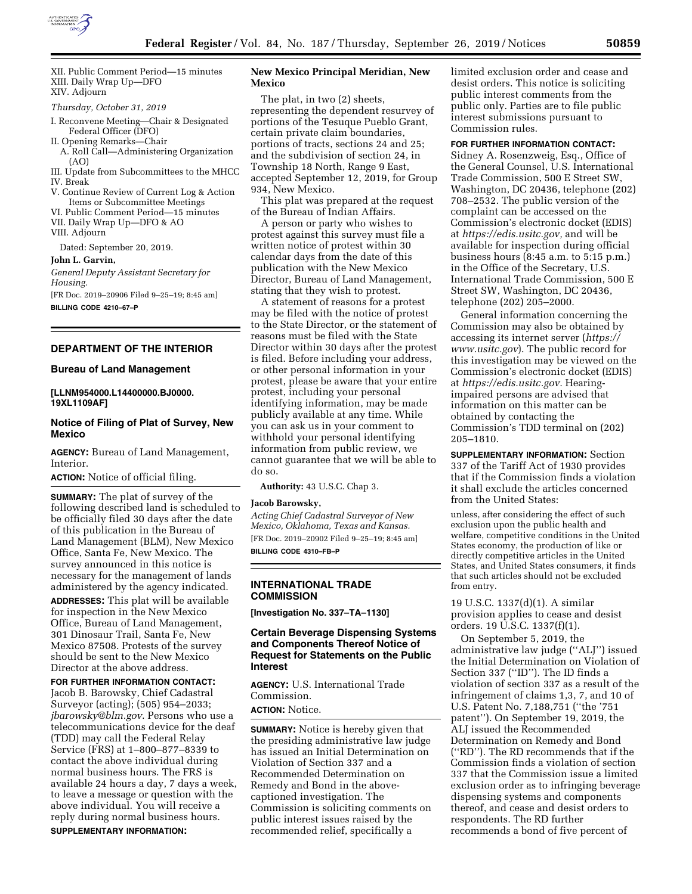

XII. Public Comment Period—15 minutes XIII. Daily Wrap Up—DFO XIV. Adjourn

*Thursday, October 31, 2019* 

- I. Reconvene Meeting—Chair & Designated Federal Officer (DFO)
- II. Opening Remarks—Chair A. Roll Call—Administering Organization (AO)
- III. Update from Subcommittees to the MHCC IV. Break
- V. Continue Review of Current Log & Action Items or Subcommittee Meetings
- VI. Public Comment Period—15 minutes
- VII. Daily Wrap Up—DFO & AO
- VIII. Adjourn

Dated: September 20, 2019.

**John L. Garvin,** 

*General Deputy Assistant Secretary for Housing.* 

[FR Doc. 2019–20906 Filed 9–25–19; 8:45 am] **BILLING CODE 4210–67–P** 

# **DEPARTMENT OF THE INTERIOR**

#### **Bureau of Land Management**

#### **[LLNM954000.L14400000.BJ0000. 19XL1109AF]**

## **Notice of Filing of Plat of Survey, New Mexico**

**AGENCY:** Bureau of Land Management, Interior.

**ACTION:** Notice of official filing.

**SUMMARY:** The plat of survey of the following described land is scheduled to be officially filed 30 days after the date of this publication in the Bureau of Land Management (BLM), New Mexico Office, Santa Fe, New Mexico. The survey announced in this notice is necessary for the management of lands administered by the agency indicated. **ADDRESSES:** This plat will be available for inspection in the New Mexico Office, Bureau of Land Management, 301 Dinosaur Trail, Santa Fe, New Mexico 87508. Protests of the survey should be sent to the New Mexico Director at the above address.

#### **FOR FURTHER INFORMATION CONTACT:**

Jacob B. Barowsky, Chief Cadastral Surveyor (acting); (505) 954–2033; *[jbarowsky@blm.gov](mailto:jbarowsky@blm.gov)*. Persons who use a telecommunications device for the deaf (TDD) may call the Federal Relay Service (FRS) at 1–800–877–8339 to contact the above individual during normal business hours. The FRS is available 24 hours a day, 7 days a week, to leave a message or question with the above individual. You will receive a reply during normal business hours. **SUPPLEMENTARY INFORMATION:** 

### **New Mexico Principal Meridian, New Mexico**

The plat, in two (2) sheets, representing the dependent resurvey of portions of the Tesuque Pueblo Grant, certain private claim boundaries, portions of tracts, sections 24 and 25; and the subdivision of section 24, in Township 18 North, Range 9 East, accepted September 12, 2019, for Group 934, New Mexico.

This plat was prepared at the request of the Bureau of Indian Affairs.

A person or party who wishes to protest against this survey must file a written notice of protest within 30 calendar days from the date of this publication with the New Mexico Director, Bureau of Land Management, stating that they wish to protest.

A statement of reasons for a protest may be filed with the notice of protest to the State Director, or the statement of reasons must be filed with the State Director within 30 days after the protest is filed. Before including your address, or other personal information in your protest, please be aware that your entire protest, including your personal identifying information, may be made publicly available at any time. While you can ask us in your comment to withhold your personal identifying information from public review, we cannot guarantee that we will be able to do so.

**Authority:** 43 U.S.C. Chap 3.

#### **Jacob Barowsky,**

*Acting Chief Cadastral Surveyor of New Mexico, Oklahoma, Texas and Kansas.*  [FR Doc. 2019–20902 Filed 9–25–19; 8:45 am] **BILLING CODE 4310–FB–P** 

## **INTERNATIONAL TRADE COMMISSION**

**[Investigation No. 337–TA–1130]** 

## **Certain Beverage Dispensing Systems and Components Thereof Notice of Request for Statements on the Public Interest**

**AGENCY:** U.S. International Trade Commission.

**ACTION:** Notice.

**SUMMARY:** Notice is hereby given that the presiding administrative law judge has issued an Initial Determination on Violation of Section 337 and a Recommended Determination on Remedy and Bond in the abovecaptioned investigation. The Commission is soliciting comments on public interest issues raised by the recommended relief, specifically a

limited exclusion order and cease and desist orders. This notice is soliciting public interest comments from the public only. Parties are to file public interest submissions pursuant to Commission rules.

## **FOR FURTHER INFORMATION CONTACT:**

Sidney A. Rosenzweig, Esq., Office of the General Counsel, U.S. International Trade Commission, 500 E Street SW, Washington, DC 20436, telephone (202) 708–2532. The public version of the complaint can be accessed on the Commission's electronic docket (EDIS) at *[https://edis.usitc.gov,](https://edis.usitc.gov)* and will be available for inspection during official business hours (8:45 a.m. to 5:15 p.m.) in the Office of the Secretary, U.S. International Trade Commission, 500 E Street SW, Washington, DC 20436, telephone (202) 205–2000.

General information concerning the Commission may also be obtained by accessing its internet server (*[https://](https://www.usitc.gov) [www.usitc.gov](https://www.usitc.gov)*). The public record for this investigation may be viewed on the Commission's electronic docket (EDIS) at *[https://edis.usitc.gov.](https://edis.usitc.gov)* Hearingimpaired persons are advised that information on this matter can be obtained by contacting the Commission's TDD terminal on (202) 205–1810.

**SUPPLEMENTARY INFORMATION:** Section 337 of the Tariff Act of 1930 provides that if the Commission finds a violation it shall exclude the articles concerned from the United States:

unless, after considering the effect of such exclusion upon the public health and welfare, competitive conditions in the United States economy, the production of like or directly competitive articles in the United States, and United States consumers, it finds that such articles should not be excluded from entry.

19 U.S.C. 1337(d)(1). A similar provision applies to cease and desist orders. 19 U.S.C. 1337(f)(1).

On September 5, 2019, the administrative law judge (''ALJ'') issued the Initial Determination on Violation of Section 337 (''ID''). The ID finds a violation of section 337 as a result of the infringement of claims 1,3, 7, and 10 of U.S. Patent No. 7,188,751 (''the '751 patent''). On September 19, 2019, the ALJ issued the Recommended Determination on Remedy and Bond (''RD''). The RD recommends that if the Commission finds a violation of section 337 that the Commission issue a limited exclusion order as to infringing beverage dispensing systems and components thereof, and cease and desist orders to respondents. The RD further recommends a bond of five percent of